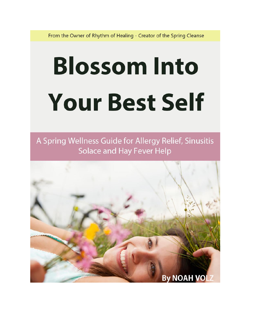From the Owner of Rhythm of Healing - Creator of the Spring Cleanse

# **Blossom Into Your Best Self**

A Spring Wellness Guide for Allergy Relief, Sinusitis Solace and Hay Fever Help

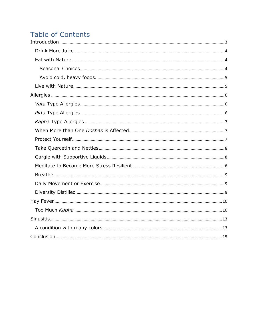### **Table of Contents**

<span id="page-1-0"></span>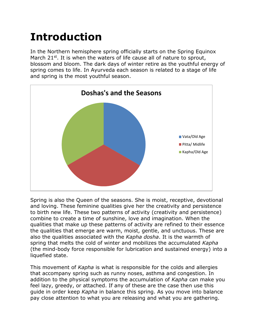## **Introduction**

In the Northern hemisphere spring officially starts on the Spring Equinox March  $21^{st}$ . It is when the waters of life cause all of nature to sprout, blossom and bloom. The dark days of winter retire as the youthful energy of spring comes to life. In Ayurveda each season is related to a stage of life and spring is the most youthful season.



Spring is also the Queen of the seasons. She is moist, receptive, devotional and loving. These feminine qualities give her the creativity and persistence to birth new life. These two patterns of activity (creativity and persistence) combine to create a time of sunshine, love and imagination. When the qualities that make up these patterns of activity are refined to their essence the qualities that emerge are warm, moist, gentle, and unctuous. These are also the qualities associated with the *Kapha dosha*. It is the warmth of spring that melts the cold of winter and mobilizes the accumulated *Kapha* (the mind-body force responsible for lubrication and sustained energy) into a liquefied state.

This movement of *Kapha* is what is responsible for the colds and allergies that accompany spring such as runny noses, asthma and congestion. In addition to the physical symptoms the accumulation of *Kapha* can make you feel lazy, greedy, or attached. If any of these are the case then use this guide in order keep *Kapha* in balance this spring. As you move into balance pay close attention to what you are releasing and what you are gathering.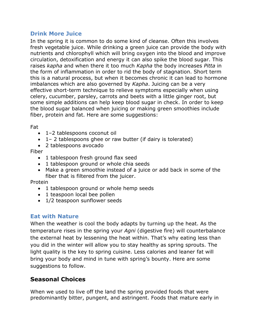#### <span id="page-3-0"></span>**Drink More Juice**

In the spring it is common to do some kind of cleanse. Often this involves fresh vegetable juice. While drinking a green juice can provide the body with nutrients and chlorophyll which will bring oxygen into the blood and improve circulation, detoxification and energy it can also spike the blood sugar. This raises *kapha* and when there it too much *Kapha* the body increases *Pitta* in the form of inflammation in order to rid the body of stagnation. Short term this is a natural process, but when it becomes chronic it can lead to hormone imbalances which are also governed by *Kapha*. Juicing can be a very effective short-term technique to relieve symptoms especially when using celery, cucumber, parsley, carrots and beets with a little ginger root, but some simple additions can help keep blood sugar in check. In order to keep the blood sugar balanced when juicing or making green smoothies include fiber, protein and fat. Here are some suggestions:

Fat

- 1–2 tablespoons coconut oil
- 1– 2 tablespoons ghee or raw butter (if dairy is tolerated)
- 2 tablespoons avocado

Fiber

- 1 tablespoon fresh ground flax seed
- 1 tablespoon ground or whole chia seeds
- Make a green smoothie instead of a juice or add back in some of the fiber that is filtered from the juicer.

Protein

- 1 tablespoon ground or whole hemp seeds
- 1 teaspoon local bee pollen
- 1/2 teaspoon sunflower seeds

#### <span id="page-3-1"></span>**Eat with Nature**

When the weather is cool the body adapts by turning up the heat. As the temperature rises in the spring your *Agni* (digestive fire) will counterbalance the external heat by lessening the heat within. That's why eating less than you did in the winter will allow you to stay healthy as spring sprouts. The light quality is the key to spring cuisine. Less calories and leaner fat will bring your body and mind in tune with spring's bounty. Here are some suggestions to follow.

#### <span id="page-3-2"></span>**Seasonal Choices**

When we used to live off the land the spring provided foods that were predominantly bitter, pungent, and astringent. Foods that mature early in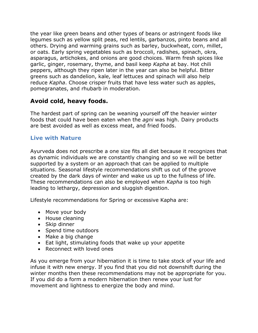the year like green beans and other types of beans or astringent foods like legumes such as yellow split peas, red lentils, garbanzos, pinto beans and all others. Drying and warming grains such as barley, buckwheat, corn, millet, or oats. Early spring vegetables such as broccoli, radishes, spinach, okra, asparagus, artichokes, and onions are good choices. Warm fresh spices like garlic, ginger, rosemary, thyme, and basil keep *Kapha* at bay. Hot chili peppers, although they ripen later in the year can also be helpful. Bitter greens such as dandelion, kale, leaf lettuces and spinach will also help reduce *Kapha*. Choose crisper fruits that have less water such as apples, pomegranates, and rhubarb in moderation.

#### <span id="page-4-0"></span>**Avoid cold, heavy foods.**

The hardest part of spring can be weaning yourself off the heavier winter foods that could have been eaten when the *agni* was high. Dairy products are best avoided as well as excess meat, and fried foods.

#### <span id="page-4-1"></span>**Live with Nature**

Ayurveda does not prescribe a one size fits all diet because it recognizes that as dynamic individuals we are constantly changing and so we will be better supported by a system or an approach that can be applied to multiple situations. Seasonal lifestyle recommendations shift us out of the groove created by the dark days of winter and wake us up to the fullness of life. These recommendations can also be employed when *Kapha* is too high leading to lethargy, depression and sluggish digestion.

Lifestyle recommendations for Spring or excessive Kapha are:

- Move your body
- House cleaning
- Skip dinner
- Spend time outdoors
- Make a big change
- Eat light, stimulating foods that wake up your appetite
- Reconnect with loved ones

As you emerge from your hibernation it is time to take stock of your life and infuse it with new energy. If you find that you did not downshift during the winter months then these recommendations may not be appropriate for you. If you did do a form a modern hibernation then renew your lust for movement and lightness to energize the body and mind.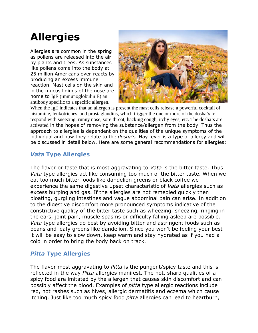## <span id="page-5-0"></span>**Allergies**

Allergies are common in the spring as pollens are released into the air by plants and trees. As substances like pollens come into the body at 25 million Americans over-reacts by producing an excess immune reaction. Mast cells on the skin and in the mucus linings of the nose are home to IgE (immunoglobulin E) an antibody specific to a specific allergen.



When the IgE indicates that an allergen is present the mast cells release a powerful cocktail of histamine, leukotrienes, and prostaglandins, which trigger the one or more of the dosha's to respond with sneezing, runny nose, sore throat, hacking cough, itchy eyes, etc. The dosha's are activated in the hopes of removing the substance/allergen from the body. Thus the approach to allergies is dependent on the qualities of the unique symptoms of the individual and how they relate to the *dosha'*s. Hay fever is a type of allergy and will be discussed in detail below. Here are some general recommendations for allergies:

#### <span id="page-5-1"></span>*Vata* **Type Allergies**

The flavor or taste that is most aggravating to *Vata* is the bitter taste. Thus *Vata* type allergies act like consuming too much of the bitter taste. When we eat too much bitter foods like dandelion greens or black coffee we experience the same digestive upset characteristic of *Vata* allergies such as excess burping and gas. If the allergies are not remedied quickly then bloating, gurgling intestines and vague abdominal pain can arise. In addition to the digestive discomfort more pronounced symptoms indicative of the constrictive quality of the bitter taste such as wheezing, sneezing, ringing in the ears, joint pain, muscle spasms or difficulty falling asleep are possible. *Vata* type allergies do best by avoiding bitter and astringent foods such as beans and leafy greens like dandelion. Since you won't be feeling your best it will be easy to slow down, keep warm and stay hydrated as if you had a cold in order to bring the body back on track.

#### <span id="page-5-2"></span>*Pitta* **Type Allergies**

The flavor most aggravating to *Pitta* is the pungent/spicy taste and this is reflected in the way *Pitta* allergies manifest. The hot, sharp qualities of a spicy food are imitated by the allergen that causes skin discomfort and can possibly affect the blood. Examples of *pitta* type allergic reactions include red, hot rashes such as hives, allergic dermatitis and eczema which cause itching. Just like too much spicy food *pitta* allergies can lead to heartburn,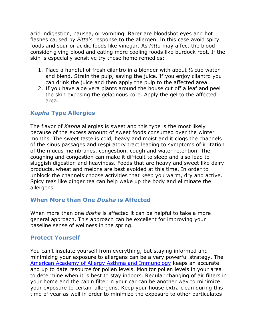acid indigestion, nausea, or vomiting. Rarer are bloodshot eyes and hot flashes caused by *Pitta*'s response to the allergen. In this case avoid spicy foods and sour or acidic foods like vinegar. As *Pitta* may affect the blood consider giving blood and eating more cooling foods like burdock root. If the skin is especially sensitive try these home remedies:

- 1. Place a handful of fresh cilantro in a blender with about ⅓ cup water and blend. Strain the pulp, saving the juice. If you enjoy cilantro you can drink the juice and then apply the pulp to the affected area.
- 2. If you have aloe vera plants around the house cut off a leaf and peel the skin exposing the gelatinous core. Apply the gel to the affected area.

#### <span id="page-6-0"></span>*Kapha* **Type Allergies**

The flavor of *Kapha* allergies is sweet and this type is the most likely because of the excess amount of sweet foods consumed over the winter months. The sweet taste is cold, heavy and moist and it clogs the channels of the sinus passages and respiratory tract leading to symptoms of irritation of the mucus membranes, congestion, cough and water retention. The coughing and congestion can make it difficult to sleep and also lead to sluggish digestion and heaviness. Foods that are heavy and sweet like dairy products, wheat and melons are best avoided at this time. In order to unblock the channels choose activities that keep you warm, dry and active. Spicy teas like ginger tea can help wake up the body and eliminate the allergens.

#### <span id="page-6-1"></span>**When More than One** *Dosha* **is Affected**

When more than one *dosha* is affected it can be helpful to take a more general approach. This approach can be excellent for improving your baseline sense of wellness in the spring.

#### <span id="page-6-2"></span>**Protect Yourself**

You can't insulate yourself from everything, but staying informed and minimizing your exposure to allergens can be a very powerful strategy. The [American Academy of Allergy Asthma and Immunology](http://www.aaaai.org/global/nab-pollen-counts.aspx) keeps an accurate and up to date resource for pollen levels. Monitor pollen levels in your area to determine when it is best to stay indoors. Regular changing of air filters in your home and the cabin filter in your car can be another way to minimize your exposure to certain allergens. Keep your house extra clean during this time of year as well in order to minimize the exposure to other particulates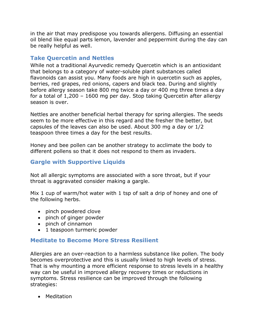in the air that may predispose you towards allergens. Diffusing an essential oil blend like equal parts lemon, lavender and peppermint during the day can be really helpful as well.

#### <span id="page-7-0"></span>**Take Quercetin and Nettles**

While not a traditional Ayurvedic remedy Quercetin which is an antioxidant that belongs to a category of water-soluble plant substances called flavonoids can assist you. Many foods are high in quercetin such as apples, berries, red grapes, red onions, capers and black tea. During and slightly before allergy season take 800 mg twice a day or 400 mg three times a day for a total of 1,200 – 1600 mg per day. Stop taking Quercetin after allergy season is over.

Nettles are another beneficial herbal therapy for spring allergies. The seeds seem to be more effective in this regard and the fresher the better, but capsules of the leaves can also be used. About 300 mg a day or 1/2 teaspoon three times a day for the best results.

Honey and bee pollen can be another strategy to acclimate the body to different pollens so that it does not respond to them as invaders.

#### <span id="page-7-1"></span>**Gargle with Supportive Liquids**

Not all allergic symptoms are associated with a sore throat, but if your throat is aggravated consider making a gargle.

Mix 1 cup of warm/hot water with 1 tsp of salt a drip of honey and one of the following herbs.

- pinch powdered clove
- pinch of ginger powder
- pinch of cinnamon
- 1 teaspoon turmeric powder

#### <span id="page-7-2"></span>**Meditate to Become More Stress Resilient**

Allergies are an over-reaction to a harmless substance like pollen. The body becomes overprotective and this is usually linked to high levels of stress. That is why mounting a more efficient response to stress levels in a healthy way can be useful in improved allergy recovery times or reductions in symptoms. Stress resilience can be improved through the following strategies:

• Meditation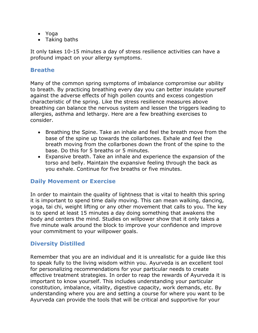- Yoga
- Taking baths

It only takes 10-15 minutes a day of stress resilience activities can have a profound impact on your allergy symptoms.

#### <span id="page-8-0"></span>**Breathe**

Many of the common spring symptoms of imbalance compromise our ability to breath. By practicing breathing every day you can better insulate yourself against the adverse effects of high pollen counts and excess congestion characteristic of the spring. Like the stress resilience measures above breathing can balance the nervous system and lessen the triggers leading to allergies, asthma and lethargy. Here are a few breathing exercises to consider.

- Breathing the Spine. Take an inhale and feel the breath move from the base of the spine up towards the collarbones. Exhale and feel the breath moving from the collarbones down the front of the spine to the base. Do this for 5 breaths or 5 minutes.
- Expansive breath. Take an inhale and experience the expansion of the torso and belly. Maintain the expansive feeling through the back as you exhale. Continue for five breaths or five minutes.

#### <span id="page-8-1"></span>**Daily Movement or Exercise**

In order to maintain the quality of lightness that is vital to health this spring it is important to spend time daily moving. This can mean walking, dancing, yoga, tai chi, weight lifting or any other movement that calls to you. The key is to spend at least 15 minutes a day doing something that awakens the body and centers the mind. Studies on willpower show that it only takes a five minute walk around the block to improve your confidence and improve your commitment to your willpower goals.

#### <span id="page-8-2"></span>**Diversity Distilled**

Remember that you are an individual and it is unrealistic for a guide like this to speak fully to the living wisdom within you. Ayurveda is an excellent tool for personalizing recommendations for your particular needs to create effective treatment strategies. In order to reap the rewards of Ayurveda it is important to know yourself. This includes understanding your particular constitution, imbalance, vitality, digestive capacity, work demands, etc. By understanding where you are and setting a course for where you want to be Ayurveda can provide the tools that will be critical and supportive for your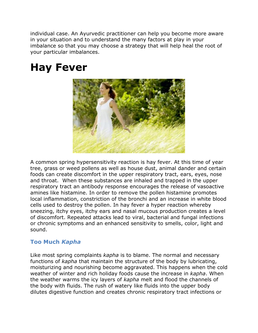individual case. An Ayurvedic practitioner can help you become more aware in your situation and to understand the many factors at play in your imbalance so that you may choose a strategy that will help heal the root of your particular imbalances.

## <span id="page-9-0"></span>**Hay Fever**



A common spring hypersensitivity reaction is hay fever. At this time of year tree, grass or weed pollens as well as house dust, animal dander and certain foods can create discomfort in the upper respiratory tract, ears, eyes, nose and throat. When these substances are inhaled and trapped in the upper respiratory tract an antibody response encourages the release of vasoactive amines like histamine. In order to remove the pollen histamine promotes local inflammation, constriction of the bronchi and an increase in white blood cells used to destroy the pollen. In hay fever a hyper reaction whereby sneezing, itchy eyes, itchy ears and nasal mucous production creates a level of discomfort. Repeated attacks lead to viral, bacterial and fungal infections or chronic symptoms and an enhanced sensitivity to smells, color, light and sound.

#### <span id="page-9-1"></span>**Too Much** *Kapha*

Like most spring complaints *kapha* is to blame. The normal and necessary functions of *kapha* that maintain the structure of the body by lubricating, moisturizing and nourishing become aggravated. This happens when the cold weather of winter and rich holiday foods cause the increase in *kapha*. When the weather warms the icy layers of *kapha* melt and flood the channels of the body with fluids. The rush of watery like fluids into the upper body dilutes digestive function and creates chronic respiratory tract infections or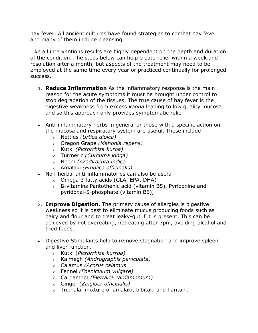hay fever. All ancient cultures have found strategies to combat hay fever and many of them include cleansing.

Like all interventions results are highly dependent on the depth and duration of the condition. The steps below can help create relief within a week and resolution after a month, but aspects of the treatment may need to be employed at the same time every year or practiced continually for prolonged success.

- 1. **Reduce Inflammation** As the inflammatory response is the main reason for the acute symptoms it must be brought under control to stop degradation of the tissues. The true cause of hay fever is the digestive weakness from excess *kapha* leading to low quality mucosa and so this approach only provides symptomatic relief.
- Anti-inflammatory herbs in general or those with a specific action on the mucosa and respiratory system are useful. These include:
	- o Nettles *(Urtica dioica)*
	- o Oregon Grape *(Mahonia repens)*
	- o Kutki *(Picrorrhiza kuroa)*
	- o Turmeric *(Curcuma longa)*
	- o Neem *(Azadirachta indica*
	- o Amalaki *(Emblica officinalis)*
- Non-herbal anti-inflammatories can also be useful
	- o Omega 3 fatty acids (GLA, EPA, DHA)
	- o B-vitamins Pantothenic acid (vitamin B5), Pyridoxine and pyridoxal-5-phosphate (vitamin B6),
- 2. **Improve Digestion.** The primary cause of allergies is digestive weakness so it is best to eliminate mucus producing foods such as dairy and flour and to treat leaky-gut if it is present. This can be achieved by not overeating, not eating after 7pm, avoiding alcohol and fried foods.
- Digestive Stimulants help to remove stagnation and improve spleen and liver function.
	- o Kutki (*Picrorrhiza kurroa)*
	- o Kalmegh *(Andrographis paniculata)*
	- o Calamus *(Acorus calamus*
	- o Fennel *(Foeniculum vulgare)*
	- o Cardamom *(Elettaria cardamomum)*
	- o Ginger *(Zingiber officinalis)*
	- o Triphala, mixture of amalaki, bibitaki and haritaki.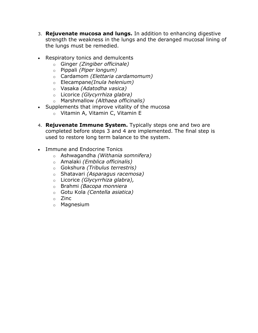- 3. **Rejuvenate mucosa and lungs.** In addition to enhancing digestive strength the weakness in the lungs and the deranged mucosal lining of the lungs must be remedied.
- Respiratory tonics and demulcents
	- o Ginger *(Zingiber officinale)*
	- o Pippali *(Piper longum)*
	- o Cardamom *(Elettaria cardamomum)*
	- o Elecampane*(Inula helenium)*
	- o Vasaka *(Adatodha vasica)*
	- o Licorice *(Glycyrrhiza glabra)*
	- o Marshmallow *(Althaea officinalis)*
- Supplements that improve vitality of the mucosa
	- o Vitamin A, Vitamin C, Vitamin E
- 4. **Rejuvenate Immune System.** Typically steps one and two are completed before steps 3 and 4 are implemented. The final step is used to restore long term balance to the system.
- <span id="page-11-0"></span>• Immune and Endocrine Tonics
	- o Ashwagandha *(Withania somnifera)*
	- o Amalaki *(Emblica officinalis)*
	- o Gokshura *(Tribulus terrestris)*
	- o Shatavari *(Asparagus racemosa)*
	- o Licorice *(Glycyrrhiza glabra),*
	- o Brahmi *(Bacopa monniera*
	- o Gotu Kola *(Centella asiatica)*
	- o Zinc
	- o Magnesium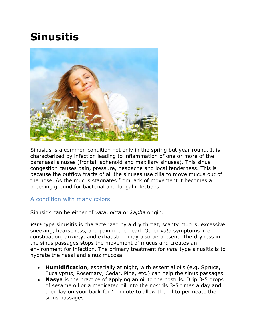## **Sinusitis**



Sinusitis is a common condition not only in the spring but year round. It is characterized by infection leading to inflammation of one or more of the paranasal sinuses (frontal, sphenoid and maxillary sinuses). This sinus congestion causes pain, pressure, headache and local tenderness. This is because the outflow tracts of all the sinuses use cilia to move mucus out of the nose. As the mucus stagnates from lack of movement it becomes a breeding ground for bacterial and fungal infections.

#### <span id="page-12-0"></span>A condition with many colors

Sinusitis can be either of *vata*, *pitta* or *kapha* origin.

*Vata* type sinusitis is characterized by a dry throat, scanty mucus, excessive sneezing, hoarseness, and pain in the head. Other *vata* symptoms like constipation, anxiety, and exhaustion may also be present. The dryness in the sinus passages stops the movement of mucus and creates an environment for infection. The primary treatment for *vata* type sinusitis is to hydrate the nasal and sinus mucosa.

- **Humidification**, especially at night, with essential oils (e.g. Spruce, Eucalyptus, Rosemary, Cedar, Pine, etc.) can help the sinus passages
- **Nasya** is the practice of applying an oil to the nostrils. Drip 3-5 drops of sesame oil or a medicated oil into the nostrils 3-5 times a day and then lay on your back for 1 minute to allow the oil to permeate the sinus passages.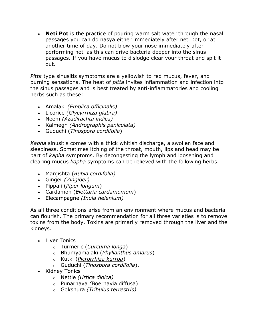**Neti Pot** is the practice of pouring warm salt water through the nasal passages you can do nasya either immediately after neti pot, or at another time of day. Do not blow your nose immediately after performing neti as this can drive bacteria deeper into the sinus passages. If you have mucus to dislodge clear your throat and spit it out.

*Pitta* type sinusitis symptoms are a yellowish to red mucus, fever, and burning sensations. The heat of *pitta* invites inflammation and infection into the sinus passages and is best treated by anti-inflammatories and cooling herbs such as these:

- Amalaki *(Emblica officinalis)*
- Licorice *(Glycyrrhiza glabra)*
- Neem *(Azadirachta indica)*
- Kalmegh *(Andrographis paniculata)*
- Guduchi (*Tinospora cordifolia*)

*Kapha* sinusitis comes with a thick whitish discharge, a swollen face and sleepiness. Sometimes itching of the throat, mouth, lips and head may be part of *kapha* symptoms. By decongesting the lymph and loosening and clearing mucus *kapha* symptoms can be relieved with the following herbs.

- Manjishta (*Rubia cordifolia)*
- Ginger *(Zingiber)*
- Pippali (*Piper longum*)
- Cardamon (*Elettaria cardamomum*)
- Elecampagne *(Inula helenium)*

As all three conditions arise from an environment where mucus and bacteria can flourish. The primary recommendation for all three varieties is to remove toxins from the body. Toxins are primarily removed through the liver and the kidneys.

- Liver Tonics
	- o Turmeric (*Curcuma longa*)
	- o Bhumyamalaki (*Phyllanthus amarus*)
	- o Kutki (*Picrorrhiza kurroa*)
	- o Guduchi (*Tinospora cordifolia*).
- Kidney Tonics
	- o Nettle *(Urtica dioica)*
	- o Punarnava *(*Boerhavia diffusa)
	- o Gokshura *(Tribulus terrestris)*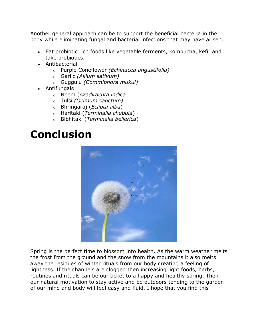Another general approach can be to support the beneficial bacteria in the body while eliminating fungal and bacterial infections that may have arisen.

- Eat probiotic rich foods like vegetable ferments, kombucha, kefir and take probiotics.
- Antibacterial
	- o Purple Coneflower *(Echinacea angustifolia)*
	- o Garlic *(Allium sativum)*
	- o Guggulu *(Commiphora mukul)*
- Antifungals
	- o Neem (*Azadirachta indica*
	- o Tulsi *(Ocimum sanctum)*
	- o Bhringaraj (*Eclipta alba*)
	- o Haritaki (*Terminalia chebula*)
	- o Bibhitaki (*Terminalia bellerica*)

## <span id="page-14-0"></span>**Conclusion**



Spring is the perfect time to blossom into health. As the warm weather melts the frost from the ground and the snow from the mountains it also melts away the residues of winter rituals from our body creating a feeling of lightness. If the channels are clogged then increasing light foods, herbs, routines and rituals can be our ticket to a happy and healthy spring. Then our natural motivation to stay active and be outdoors tending to the garden of our mind and body will feel easy and fluid. I hope that you find this